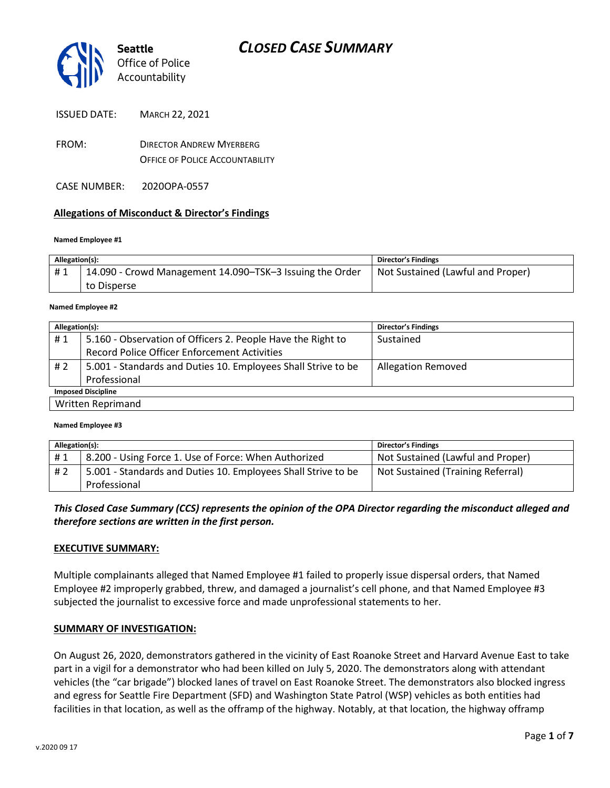

- FROM: DIRECTOR ANDREW MYERBERG OFFICE OF POLICE ACCOUNTABILITY
- CASE NUMBER: 2020OPA-0557

#### **Allegations of Misconduct & Director's Findings**

#### **Named Employee #1**

| Allegation(s): |                                                          | Director's Findings               |
|----------------|----------------------------------------------------------|-----------------------------------|
| #1             | 14.090 - Crowd Management 14.090–TSK–3 Issuing the Order | Not Sustained (Lawful and Proper) |
|                | to Disperse                                              |                                   |

#### **Named Employee #2**

| Allegation(s):            |                                                               | <b>Director's Findings</b> |  |
|---------------------------|---------------------------------------------------------------|----------------------------|--|
| #1                        | 5.160 - Observation of Officers 2. People Have the Right to   | Sustained                  |  |
|                           | Record Police Officer Enforcement Activities                  |                            |  |
| #2                        | 5.001 - Standards and Duties 10. Employees Shall Strive to be | <b>Allegation Removed</b>  |  |
|                           | Professional                                                  |                            |  |
| <b>Imposed Discipline</b> |                                                               |                            |  |
| Written Reprimand         |                                                               |                            |  |

#### **Named Employee #3**

| Allegation(s): |                                                               | <b>Director's Findings</b>        |
|----------------|---------------------------------------------------------------|-----------------------------------|
| #1             | 8.200 - Using Force 1. Use of Force: When Authorized          | Not Sustained (Lawful and Proper) |
| #2             | 5.001 - Standards and Duties 10. Employees Shall Strive to be | Not Sustained (Training Referral) |
|                | Professional                                                  |                                   |

#### *This Closed Case Summary (CCS) represents the opinion of the OPA Director regarding the misconduct alleged and therefore sections are written in the first person.*

#### **EXECUTIVE SUMMARY:**

Multiple complainants alleged that Named Employee #1 failed to properly issue dispersal orders, that Named Employee #2 improperly grabbed, threw, and damaged a journalist's cell phone, and that Named Employee #3 subjected the journalist to excessive force and made unprofessional statements to her.

#### **SUMMARY OF INVESTIGATION:**

On August 26, 2020, demonstrators gathered in the vicinity of East Roanoke Street and Harvard Avenue East to take part in a vigil for a demonstrator who had been killed on July 5, 2020. The demonstrators along with attendant vehicles (the "car brigade") blocked lanes of travel on East Roanoke Street. The demonstrators also blocked ingress and egress for Seattle Fire Department (SFD) and Washington State Patrol (WSP) vehicles as both entities had facilities in that location, as well as the offramp of the highway. Notably, at that location, the highway offramp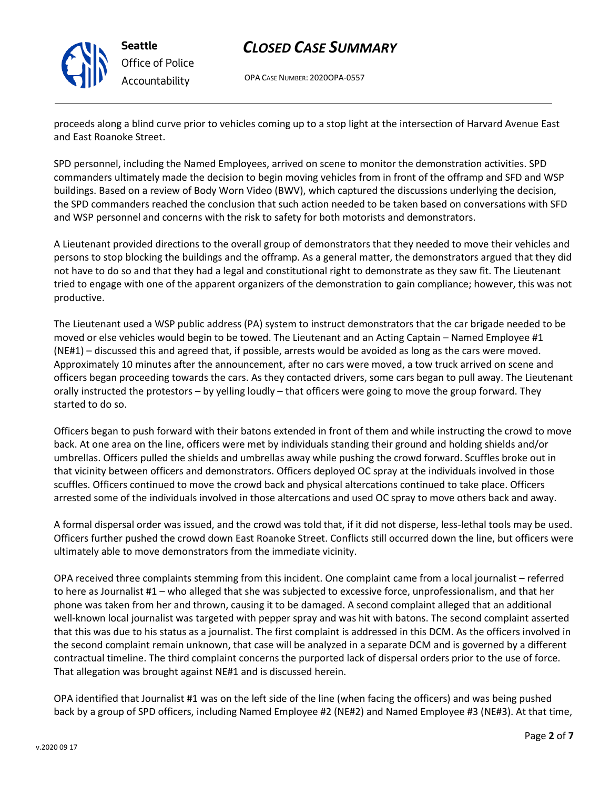

## *CLOSED CASE SUMMARY*

OPA CASE NUMBER: 2020OPA-0557

proceeds along a blind curve prior to vehicles coming up to a stop light at the intersection of Harvard Avenue East and East Roanoke Street.

SPD personnel, including the Named Employees, arrived on scene to monitor the demonstration activities. SPD commanders ultimately made the decision to begin moving vehicles from in front of the offramp and SFD and WSP buildings. Based on a review of Body Worn Video (BWV), which captured the discussions underlying the decision, the SPD commanders reached the conclusion that such action needed to be taken based on conversations with SFD and WSP personnel and concerns with the risk to safety for both motorists and demonstrators.

A Lieutenant provided directions to the overall group of demonstrators that they needed to move their vehicles and persons to stop blocking the buildings and the offramp. As a general matter, the demonstrators argued that they did not have to do so and that they had a legal and constitutional right to demonstrate as they saw fit. The Lieutenant tried to engage with one of the apparent organizers of the demonstration to gain compliance; however, this was not productive.

The Lieutenant used a WSP public address (PA) system to instruct demonstrators that the car brigade needed to be moved or else vehicles would begin to be towed. The Lieutenant and an Acting Captain – Named Employee #1 (NE#1) – discussed this and agreed that, if possible, arrests would be avoided as long as the cars were moved. Approximately 10 minutes after the announcement, after no cars were moved, a tow truck arrived on scene and officers began proceeding towards the cars. As they contacted drivers, some cars began to pull away. The Lieutenant orally instructed the protestors – by yelling loudly – that officers were going to move the group forward. They started to do so.

Officers began to push forward with their batons extended in front of them and while instructing the crowd to move back. At one area on the line, officers were met by individuals standing their ground and holding shields and/or umbrellas. Officers pulled the shields and umbrellas away while pushing the crowd forward. Scuffles broke out in that vicinity between officers and demonstrators. Officers deployed OC spray at the individuals involved in those scuffles. Officers continued to move the crowd back and physical altercations continued to take place. Officers arrested some of the individuals involved in those altercations and used OC spray to move others back and away.

A formal dispersal order was issued, and the crowd was told that, if it did not disperse, less-lethal tools may be used. Officers further pushed the crowd down East Roanoke Street. Conflicts still occurred down the line, but officers were ultimately able to move demonstrators from the immediate vicinity.

OPA received three complaints stemming from this incident. One complaint came from a local journalist – referred to here as Journalist #1 – who alleged that she was subjected to excessive force, unprofessionalism, and that her phone was taken from her and thrown, causing it to be damaged. A second complaint alleged that an additional well-known local journalist was targeted with pepper spray and was hit with batons. The second complaint asserted that this was due to his status as a journalist. The first complaint is addressed in this DCM. As the officers involved in the second complaint remain unknown, that case will be analyzed in a separate DCM and is governed by a different contractual timeline. The third complaint concerns the purported lack of dispersal orders prior to the use of force. That allegation was brought against NE#1 and is discussed herein.

OPA identified that Journalist #1 was on the left side of the line (when facing the officers) and was being pushed back by a group of SPD officers, including Named Employee #2 (NE#2) and Named Employee #3 (NE#3). At that time,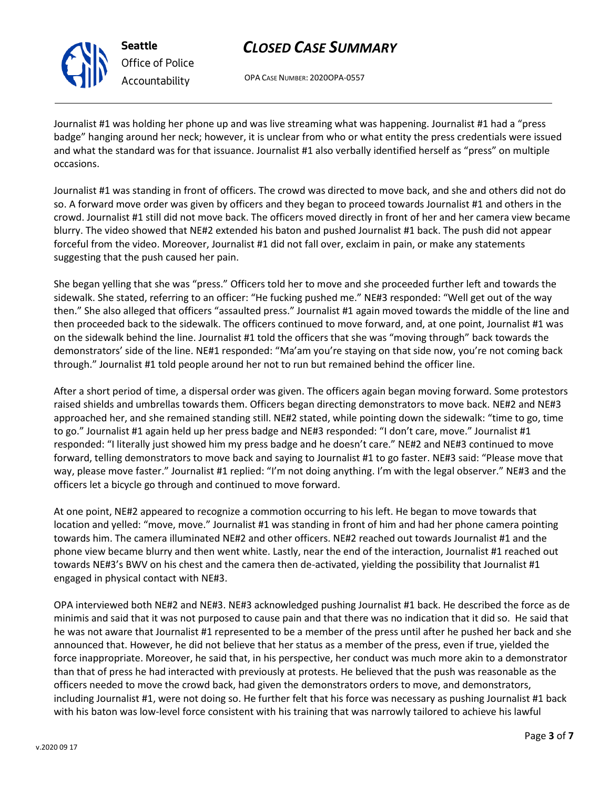

# *CLOSED CASE SUMMARY*

OPA CASE NUMBER: 2020OPA-0557

Journalist #1 was holding her phone up and was live streaming what was happening. Journalist #1 had a "press badge" hanging around her neck; however, it is unclear from who or what entity the press credentials were issued and what the standard was for that issuance. Journalist #1 also verbally identified herself as "press" on multiple occasions.

Journalist #1 was standing in front of officers. The crowd was directed to move back, and she and others did not do so. A forward move order was given by officers and they began to proceed towards Journalist #1 and others in the crowd. Journalist #1 still did not move back. The officers moved directly in front of her and her camera view became blurry. The video showed that NE#2 extended his baton and pushed Journalist #1 back. The push did not appear forceful from the video. Moreover, Journalist #1 did not fall over, exclaim in pain, or make any statements suggesting that the push caused her pain.

She began yelling that she was "press." Officers told her to move and she proceeded further left and towards the sidewalk. She stated, referring to an officer: "He fucking pushed me." NE#3 responded: "Well get out of the way then." She also alleged that officers "assaulted press." Journalist #1 again moved towards the middle of the line and then proceeded back to the sidewalk. The officers continued to move forward, and, at one point, Journalist #1 was on the sidewalk behind the line. Journalist #1 told the officers that she was "moving through" back towards the demonstrators' side of the line. NE#1 responded: "Ma'am you're staying on that side now, you're not coming back through." Journalist #1 told people around her not to run but remained behind the officer line.

After a short period of time, a dispersal order was given. The officers again began moving forward. Some protestors raised shields and umbrellas towards them. Officers began directing demonstrators to move back. NE#2 and NE#3 approached her, and she remained standing still. NE#2 stated, while pointing down the sidewalk: "time to go, time to go." Journalist #1 again held up her press badge and NE#3 responded: "I don't care, move." Journalist #1 responded: "I literally just showed him my press badge and he doesn't care." NE#2 and NE#3 continued to move forward, telling demonstrators to move back and saying to Journalist #1 to go faster. NE#3 said: "Please move that way, please move faster." Journalist #1 replied: "I'm not doing anything. I'm with the legal observer." NE#3 and the officers let a bicycle go through and continued to move forward.

At one point, NE#2 appeared to recognize a commotion occurring to his left. He began to move towards that location and yelled: "move, move." Journalist #1 was standing in front of him and had her phone camera pointing towards him. The camera illuminated NE#2 and other officers. NE#2 reached out towards Journalist #1 and the phone view became blurry and then went white. Lastly, near the end of the interaction, Journalist #1 reached out towards NE#3's BWV on his chest and the camera then de-activated, yielding the possibility that Journalist #1 engaged in physical contact with NE#3.

OPA interviewed both NE#2 and NE#3. NE#3 acknowledged pushing Journalist #1 back. He described the force as de minimis and said that it was not purposed to cause pain and that there was no indication that it did so. He said that he was not aware that Journalist #1 represented to be a member of the press until after he pushed her back and she announced that. However, he did not believe that her status as a member of the press, even if true, yielded the force inappropriate. Moreover, he said that, in his perspective, her conduct was much more akin to a demonstrator than that of press he had interacted with previously at protests. He believed that the push was reasonable as the officers needed to move the crowd back, had given the demonstrators orders to move, and demonstrators, including Journalist #1, were not doing so. He further felt that his force was necessary as pushing Journalist #1 back with his baton was low-level force consistent with his training that was narrowly tailored to achieve his lawful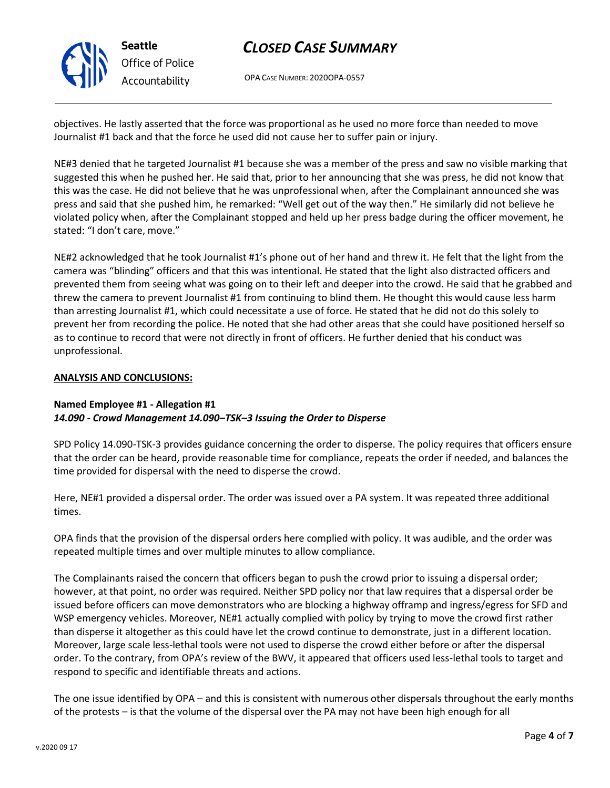

# *CLOSED CASE SUMMARY*

OPA CASE NUMBER: 2020OPA-0557

objectives. He lastly asserted that the force was proportional as he used no more force than needed to move Journalist #1 back and that the force he used did not cause her to suffer pain or injury.

NE#3 denied that he targeted Journalist #1 because she was a member of the press and saw no visible marking that suggested this when he pushed her. He said that, prior to her announcing that she was press, he did not know that this was the case. He did not believe that he was unprofessional when, after the Complainant announced she was press and said that she pushed him, he remarked: "Well get out of the way then." He similarly did not believe he violated policy when, after the Complainant stopped and held up her press badge during the officer movement, he stated: "I don't care, move."

NE#2 acknowledged that he took Journalist #1's phone out of her hand and threw it. He felt that the light from the camera was "blinding" officers and that this was intentional. He stated that the light also distracted officers and prevented them from seeing what was going on to their left and deeper into the crowd. He said that he grabbed and threw the camera to prevent Journalist #1 from continuing to blind them. He thought this would cause less harm than arresting Journalist #1, which could necessitate a use of force. He stated that he did not do this solely to prevent her from recording the police. He noted that she had other areas that she could have positioned herself so as to continue to record that were not directly in front of officers. He further denied that his conduct was unprofessional.

### **ANALYSIS AND CONCLUSIONS:**

### **Named Employee #1 - Allegation #1** *14.090 - Crowd Management 14.090–TSK–3 Issuing the Order to Disperse*

SPD Policy 14.090-TSK-3 provides guidance concerning the order to disperse. The policy requires that officers ensure that the order can be heard, provide reasonable time for compliance, repeats the order if needed, and balances the time provided for dispersal with the need to disperse the crowd.

Here, NE#1 provided a dispersal order. The order was issued over a PA system. It was repeated three additional times.

OPA finds that the provision of the dispersal orders here complied with policy. It was audible, and the order was repeated multiple times and over multiple minutes to allow compliance.

The Complainants raised the concern that officers began to push the crowd prior to issuing a dispersal order; however, at that point, no order was required. Neither SPD policy nor that law requires that a dispersal order be issued before officers can move demonstrators who are blocking a highway offramp and ingress/egress for SFD and WSP emergency vehicles. Moreover, NE#1 actually complied with policy by trying to move the crowd first rather than disperse it altogether as this could have let the crowd continue to demonstrate, just in a different location. Moreover, large scale less-lethal tools were not used to disperse the crowd either before or after the dispersal order. To the contrary, from OPA's review of the BWV, it appeared that officers used less-lethal tools to target and respond to specific and identifiable threats and actions.

The one issue identified by OPA – and this is consistent with numerous other dispersals throughout the early months of the protests – is that the volume of the dispersal over the PA may not have been high enough for all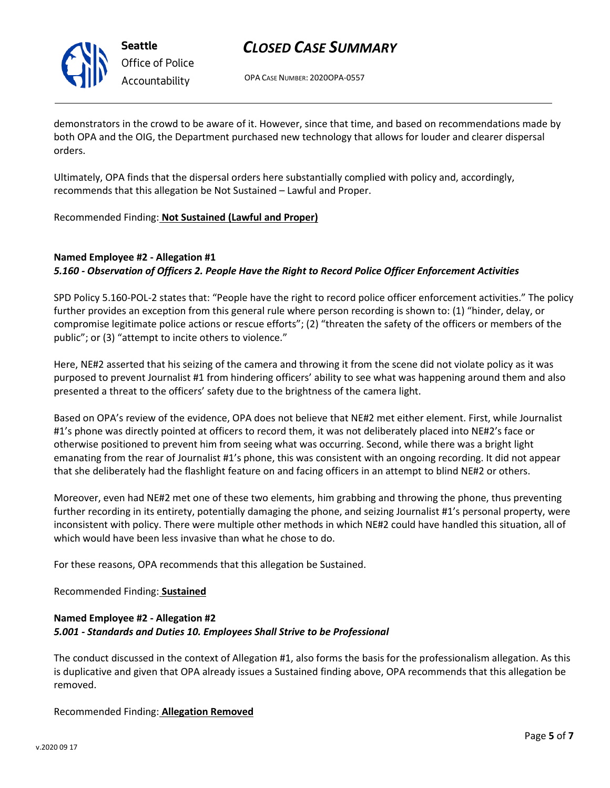

## *CLOSED CASE SUMMARY*

OPA CASE NUMBER: 2020OPA-0557

demonstrators in the crowd to be aware of it. However, since that time, and based on recommendations made by both OPA and the OIG, the Department purchased new technology that allows for louder and clearer dispersal orders.

Ultimately, OPA finds that the dispersal orders here substantially complied with policy and, accordingly, recommends that this allegation be Not Sustained – Lawful and Proper.

Recommended Finding: **Not Sustained (Lawful and Proper)**

## **Named Employee #2 - Allegation #1** *5.160 - Observation of Officers 2. People Have the Right to Record Police Officer Enforcement Activities*

SPD Policy 5.160-POL-2 states that: "People have the right to record police officer enforcement activities." The policy further provides an exception from this general rule where person recording is shown to: (1) "hinder, delay, or compromise legitimate police actions or rescue efforts"; (2) "threaten the safety of the officers or members of the public"; or (3) "attempt to incite others to violence."

Here, NE#2 asserted that his seizing of the camera and throwing it from the scene did not violate policy as it was purposed to prevent Journalist #1 from hindering officers' ability to see what was happening around them and also presented a threat to the officers' safety due to the brightness of the camera light.

Based on OPA's review of the evidence, OPA does not believe that NE#2 met either element. First, while Journalist #1's phone was directly pointed at officers to record them, it was not deliberately placed into NE#2's face or otherwise positioned to prevent him from seeing what was occurring. Second, while there was a bright light emanating from the rear of Journalist #1's phone, this was consistent with an ongoing recording. It did not appear that she deliberately had the flashlight feature on and facing officers in an attempt to blind NE#2 or others.

Moreover, even had NE#2 met one of these two elements, him grabbing and throwing the phone, thus preventing further recording in its entirety, potentially damaging the phone, and seizing Journalist #1's personal property, were inconsistent with policy. There were multiple other methods in which NE#2 could have handled this situation, all of which would have been less invasive than what he chose to do.

For these reasons, OPA recommends that this allegation be Sustained.

Recommended Finding: **Sustained**

### **Named Employee #2 - Allegation #2** *5.001 - Standards and Duties 10. Employees Shall Strive to be Professional*

The conduct discussed in the context of Allegation #1, also forms the basis for the professionalism allegation. As this is duplicative and given that OPA already issues a Sustained finding above, OPA recommends that this allegation be removed.

Recommended Finding: **Allegation Removed**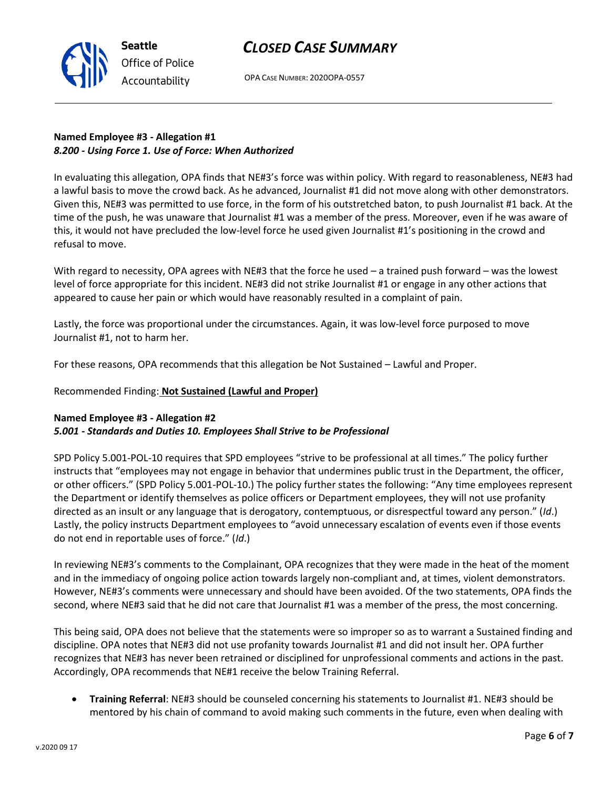## *CLOSED CASE SUMMARY*



OPA CASE NUMBER: 2020OPA-0557

## **Named Employee #3 - Allegation #1** *8.200 - Using Force 1. Use of Force: When Authorized*

In evaluating this allegation, OPA finds that NE#3's force was within policy. With regard to reasonableness, NE#3 had a lawful basis to move the crowd back. As he advanced, Journalist #1 did not move along with other demonstrators. Given this, NE#3 was permitted to use force, in the form of his outstretched baton, to push Journalist #1 back. At the time of the push, he was unaware that Journalist #1 was a member of the press. Moreover, even if he was aware of this, it would not have precluded the low-level force he used given Journalist #1's positioning in the crowd and refusal to move.

With regard to necessity, OPA agrees with NE#3 that the force he used – a trained push forward – was the lowest level of force appropriate for this incident. NE#3 did not strike Journalist #1 or engage in any other actions that appeared to cause her pain or which would have reasonably resulted in a complaint of pain.

Lastly, the force was proportional under the circumstances. Again, it was low-level force purposed to move Journalist #1, not to harm her.

For these reasons, OPA recommends that this allegation be Not Sustained – Lawful and Proper.

#### Recommended Finding: **Not Sustained (Lawful and Proper)**

### **Named Employee #3 - Allegation #2**

### *5.001 - Standards and Duties 10. Employees Shall Strive to be Professional*

SPD Policy 5.001-POL-10 requires that SPD employees "strive to be professional at all times." The policy further instructs that "employees may not engage in behavior that undermines public trust in the Department, the officer, or other officers." (SPD Policy 5.001-POL-10.) The policy further states the following: "Any time employees represent the Department or identify themselves as police officers or Department employees, they will not use profanity directed as an insult or any language that is derogatory, contemptuous, or disrespectful toward any person." (*Id*.) Lastly, the policy instructs Department employees to "avoid unnecessary escalation of events even if those events do not end in reportable uses of force." (*Id*.)

In reviewing NE#3's comments to the Complainant, OPA recognizes that they were made in the heat of the moment and in the immediacy of ongoing police action towards largely non-compliant and, at times, violent demonstrators. However, NE#3's comments were unnecessary and should have been avoided. Of the two statements, OPA finds the second, where NE#3 said that he did not care that Journalist #1 was a member of the press, the most concerning.

This being said, OPA does not believe that the statements were so improper so as to warrant a Sustained finding and discipline. OPA notes that NE#3 did not use profanity towards Journalist #1 and did not insult her. OPA further recognizes that NE#3 has never been retrained or disciplined for unprofessional comments and actions in the past. Accordingly, OPA recommends that NE#1 receive the below Training Referral.

• **Training Referral**: NE#3 should be counseled concerning his statements to Journalist #1. NE#3 should be mentored by his chain of command to avoid making such comments in the future, even when dealing with